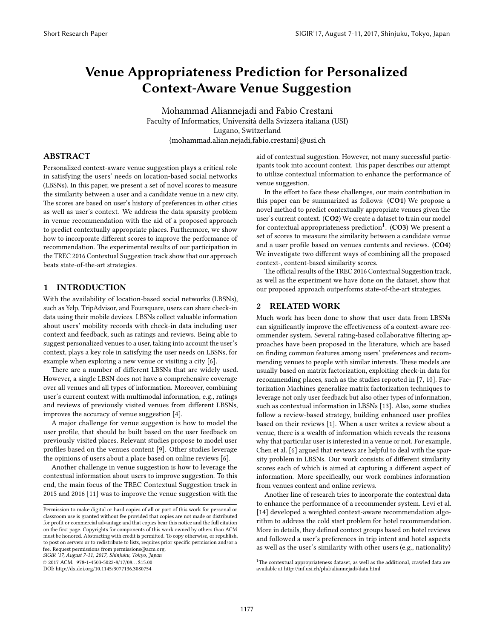# Venue Appropriateness Prediction for Personalized Context-Aware Venue Suggestion

Mohammad Aliannejadi and Fabio Crestani Faculty of Informatics, Universita della Svizzera italiana (USI) ` Lugano, Switzerland {mohammad.alian.nejadi,fabio.crestani}@usi.ch

## ABSTRACT

Personalized context-aware venue suggestion plays a critical role in satisfying the users' needs on location-based social networks (LBSNs). In this paper, we present a set of novel scores to measure the similarity between a user and a candidate venue in a new city. The scores are based on user's history of preferences in other cities as well as user's context. We address the data sparsity problem in venue recommendation with the aid of a proposed approach to predict contextually appropriate places. Furthermore, we show how to incorporate different scores to improve the performance of recommendation. The experimental results of our participation in the TREC 2016 Contextual Suggestion track show that our approach beats state-of-the-art strategies.

# 1 INTRODUCTION

With the availability of location-based social networks (LBSNs), such as Yelp, TripAdvisor, and Foursquare, users can share check-in data using their mobile devices. LBSNs collect valuable information about users' mobility records with check-in data including user context and feedback, such as ratings and reviews. Being able to suggest personalized venues to a user, taking into account the user's context, plays a key role in satisfying the user needs on LBSNs, for example when exploring a new venue or visiting a city [\[6\]](#page-3-0).

There are a number of different LBSNs that are widely used. However, a single LBSN does not have a comprehensive coverage over all venues and all types of information. Moreover, combining user's current context with multimodal information, e.g., ratings and reviews of previously visited venues from different LBSNs, improves the accuracy of venue suggestion [\[4\]](#page-3-1).

A major challenge for venue suggestion is how to model the user profile, that should be built based on the user feedback on previously visited places. Relevant studies propose to model user profiles based on the venues content  $[9]$ . Other studies leverage the opinions of users about a place based on online reviews [\[6\]](#page-3-0).

Another challenge in venue suggestion is how to leverage the contextual information about users to improve suggestion. To this end, the main focus of the TREC Contextual Suggestion track in 2015 and 2016 [\[11\]](#page-3-3) was to improve the venue suggestion with the

SIGIR '17, *August 7-11, 2017,* Shinjuku, Tokyo, Japan

aid of contextual suggestion. However, not many successful participants took into account context. This paper describes our attempt to utilize contextual information to enhance the performance of venue suggestion.

In the effort to face these challenges, our main contribution in this paper can be summarized as follows: (CO1) We propose a novel method to predict contextually appropriate venues given the user's current context. (CO2) We create a dataset to train our model for contextual appropriateness prediction $^{1}$  $^{1}$  $^{1}$ . (CO3) We present a set of scores to measure the similarity between a candidate venue and a user profile based on venues contents and reviews. (CO4) We investigate two different ways of combining all the proposed context-, content-based similarity scores.

The official results of the TREC 2016 Contextual Suggestion track, as well as the experiment we have done on the dataset, show that our proposed approach outperforms state-of-the-art strategies.

# 2 RELATED WORK

Much work has been done to show that user data from LBSNs can significantly improve the effectiveness of a context-aware recommender system. Several rating-based collaborative filtering approaches have been proposed in the literature, which are based on finding common features among users' preferences and recommending venues to people with similar interests. These models are usually based on matrix factorization, exploiting check-in data for recommending places, such as the studies reported in [\[7,](#page-3-4) [10\]](#page-3-5). Factorization Machines generalize matrix factorization techniques to leverage not only user feedback but also other types of information, such as contextual information in LBSNs [\[13\]](#page-3-6). Also, some studies follow a review-based strategy, building enhanced user profiles based on their reviews [\[1\]](#page-3-7). When a user writes a review about a venue, there is a wealth of information which reveals the reasons why that particular user is interested in a venue or not. For example, Chen et al. [\[6\]](#page-3-0) argued that reviews are helpful to deal with the sparsity problem in LBSNs. Our work consists of different similarity scores each of which is aimed at capturing a different aspect of information. More specifically, our work combines information from venues content and online reviews.

Another line of research tries to incorporate the contextual data to enhance the performance of a recommender system. Levi et al. [\[14\]](#page-3-8) developed a weighted context-aware recommendation algorithm to address the cold start problem for hotel recommendation. More in details, they defined context groups based on hotel reviews and followed a user's preferences in trip intent and hotel aspects as well as the user's similarity with other users (e.g., nationality)

Permission to make digital or hard copies of all or part of this work for personal or classroom use is granted without fee provided that copies are not made or distributed for profit or commercial advantage and that copies bear this notice and the full citation on the first page. Copyrights for components of this work owned by others than ACM must be honored. Abstracting with credit is permitted. To copy otherwise, or republish, to post on servers or to redistribute to lists, requires prior specific permission and/or a fee. Request permissions from permissions@acm.org.

<sup>©</sup> 2017 ACM. 978-1-4503-5022-8/17/08. . . \$15.00

DOI: http://dx.doi.org/10.1145/3077136.3080754

<span id="page-0-0"></span> $^{\rm 1}{\rm The}$  contextual appropriateness dataset, as well as the additional, crawled data are available at http://inf.usi.ch/phd/aliannejadi/data.html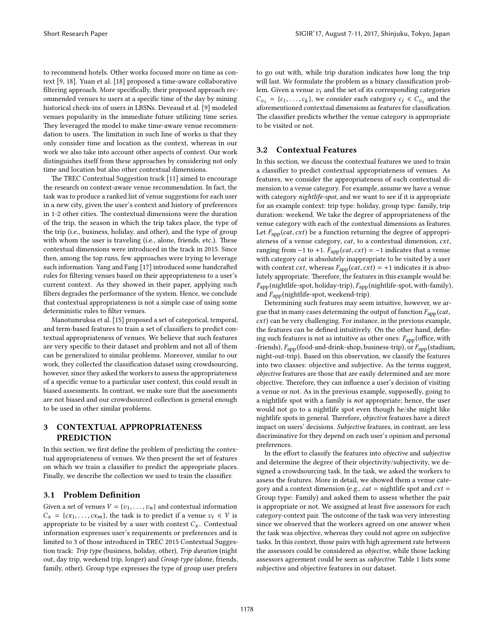to recommend hotels. Other works focused more on time as context [\[9,](#page-3-2) [18\]](#page-3-9). Yuan et al. [\[18\]](#page-3-9) proposed a time-aware collaborative filtering approach. More specifically, their proposed approach recommended venues to users at a specific time of the day by mining historical check-ins of users in LBSNs. Deveaud et al. [\[9\]](#page-3-2) modeled venues popularity in the immediate future utilizing time series. They leveraged the model to make time-aware venue recommendation to users. The limitation in such line of works is that they only consider time and location as the context, whereas in our work we also take into account other aspects of context. Our work distinguishes itself from these approaches by considering not only time and location but also other contextual dimensions.

The TREC Contextual Suggestion track [\[11\]](#page-3-3) aimed to encourage the research on context-aware venue recommendation. In fact, the task was to produce a ranked list of venue suggestions for each user in a new city, given the user's context and history of preferences in 1-2 other cities. The contextual dimensions were the duration of the trip, the season in which the trip takes place, the type of the trip (i.e., business, holiday, and other), and the type of group with whom the user is traveling (i.e., alone, friends, etc.). These contextual dimensions were introduced in the track in 2015. Since then, among the top runs, few approaches were trying to leverage such information. Yang and Fang [\[17\]](#page-3-10) introduced some handcrafted rules for filtering venues based on their appropriateness to a user's current context. As they showed in their paper, applying such filters degrades the performance of the system. Hence, we conclude that contextual appropriateness is not a simple case of using some deterministic rules to filter venues.

Manotumruksa et al. [\[15\]](#page-3-11) proposed a set of categorical, temporal, and term-based features to train a set of classifiers to predict contextual appropriateness of venues. We believe that such features are very specific to their dataset and problem and not all of them can be generalized to similar problems. Moreover, similar to our work, they collected the classification dataset using crowdsourcing, however, since they asked the workers to assess the appropriateness of a specific venue to a particular user context, this could result in biased assessments. In contrast, we make sure that the assessments are not biased and our crowdsourced collection is general enough to be used in other similar problems.

# <span id="page-1-2"></span>3 CONTEXTUAL APPROPRIATENESS PREDICTION

In this section, we first define the problem of predicting the contextual appropriateness of venues. We then present the set of features on which we train a classifier to predict the appropriate places. Finally, we describe the collection we used to train the classifier.

# <span id="page-1-0"></span>3.1 Problem Definition

Given a set of venues  $V = \{v_1, \ldots, v_n\}$  and contextual information  $C_x = \{cx_1, \ldots, cx_m\}$ , the task is to predict if a venue  $v_i \in V$  is appropriate to be visited by a user with context  $C_x$ . Contextual information expresses user's requirements or preferences and is limited to 3 of those introduced in TREC 2015 Contextual Suggestion track: Trip type (business, holiday, other), Trip duration (night out, day trip, weekend trip, longer) and Group type (alone, friends, family, other). Group type expresses the type of group user prefers

to go out with, while trip duration indicates how long the trip will last. We formulate the problem as a binary classification problem. Given a venue  $v_i$  and the set of its corresponding categories  $C_{v_i} = \{c_1, \ldots, c_k\}$ , we consider each category  $c_j \in C_{v_i}$  and the aforementioned contextual dimensions as features for classification aforementioned contextual dimensions as features for classification. The classifier predicts whether the venue category is appropriate to be visited or not.

## <span id="page-1-1"></span>3.2 Contextual Features

In this section, we discuss the contextual features we used to train a classifier to predict contextual appropriateness of venues. As features, we consider the appropriateness of each contextual dimension to a venue category. For example, assume we have a venue with category *nightlife-spot*, and we want to see if it is appropriate for an example context: trip type: holiday, group type: family, trip duration: weekend. We take the degree of appropriateness of the venue category with each of the contextual dimensions as features. Let  $F_{\text{app}}(cat, ext)$  be a function returning the degree of appropriateness of a venue category, cat, to a contextual dimension, cxt, ranging from  $-1$  to  $+1$ .  $F_{app}(cat, ext) = -1$  indicates that a venue with category *cat* is absolutely inappropriate to be visited by a user with context *cxt*, whereas  $F_{app}(cat, ext) = +1$  indicates it is absolutely appropriate. Therefore, the features in this example would be:  $F<sub>app</sub>$ (nightlife-spot, holiday-trip),  $F<sub>app</sub>$ (nightlife-spot, with-family), and  $F_{\rm app}$ (nightlife-spot, weekend-trip).

Determining such features may seem intuitive, however, we argue that in many cases determining the output of function  $F_{app}(cat,$  $cxt$ ) can be very challenging. For instance, in the previous example, the features can be defined intuitively. On the other hand, defining such features is not as intuitive as other ones:  $F_{\rm app}$  (office, with -friends),  $F_{app}$ (food-and-drink-shop, business-trip), or  $F_{app}$ (stadium, night-out-trip). Based on this observation, we classify the features into two classes: objective and subjective. As the terms suggest, objective features are those that are easily determined and are more objective. Therefore, they can influence a user's decision of visiting a venue or not. As in the previous example, supposedly, going to a nightlife spot with a family is not appropriate; hence, the user would not go to a nightlife spot even though he/she might like nightlife spots in general. Therefore, objective features have a direct impact on users' decisions. Subjective features, in contrast, are less discriminative for they depend on each user's opinion and personal preferences.

In the effort to classify the features into objective and subjective and determine the degree of their objectivity/subjectivity, we designed a crowdsourcing task. In the task, we asked the workers to assess the features. More in detail, we showed them a venue category and a context dimension (e.g.,  $cat =$  nightlife spot and  $cxt =$ Group type: Family) and asked them to assess whether the pair is appropriate or not. We assigned at least five assessors for each category-context pair. The outcome of the task was very interesting since we observed that the workers agreed on one answer when the task was objective, whereas they could not agree on subjective tasks. In this context, those pairs with high agreement rate between the assessors could be considered as objective, while those lacking assessors agreement could be seen as subjective. Table [1](#page-2-0) lists some subjective and objective features in our dataset.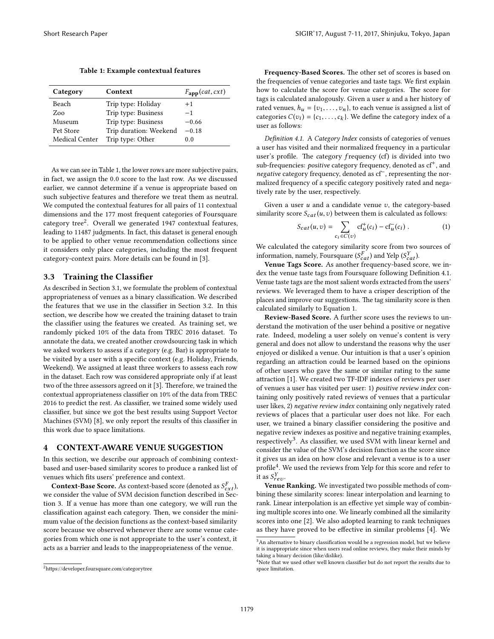Table 1: Example contextual features

<span id="page-2-0"></span>

| Category       | Context                | $F_{\rm app}(cat, cxt)$ |  |
|----------------|------------------------|-------------------------|--|
| Beach          | Trip type: Holiday     | $+1$                    |  |
| Zoo            | Trip type: Business    | $-1$                    |  |
| Museum         | Trip type: Business    | $-0.66$                 |  |
| Pet Store      | Trip duration: Weekend | $-0.18$                 |  |
| Medical Center | Trip type: Other       | 0.0                     |  |

As we can see in Table [1,](#page-2-0) the lower rows are more subjective pairs, in fact, we assign the 0.0 score to the last row. As we discussed earlier, we cannot determine if a venue is appropriate based on such subjective features and therefore we treat them as neutral. We computed the contextual features for all pairs of 11 contextual dimensions and the 177 most frequent categories of Foursquare category tree<sup>[2](#page-2-1)</sup>. Overall we generated 1947 contextual features, leading to 11487 judgments. In fact, this dataset is general enough to be applied to other venue recommendation collections since it considers only place categories, including the most frequent category-context pairs. More details can be found in [\[3\]](#page-3-12).

#### 3.3 Training the Classifier

As described in Section [3.1,](#page-1-0) we formulate the problem of contextual appropriateness of venues as a binary classification. We described the features that we use in the classifier in Section [3.2.](#page-1-1) In this section, we describe how we created the training dataset to train the classifier using the features we created. As training set, we randomly picked 10% of the data from TREC 2016 dataset. To annotate the data, we created another crowdsourcing task in which we asked workers to assess if a category (e.g. Bar) is appropriate to be visited by a user with a specific context (e.g. Holiday, Friends, Weekend). We assigned at least three workers to assess each row in the dataset. Each row was considered appropriate only if at least two of the three assessors agreed on it [\[3\]](#page-3-12). Therefore, we trained the contextual appropriateness classifier on 10% of the data from TREC 2016 to predict the rest. As classifier, we trained some widely used classifier, but since we got the best results using Support Vector Machines (SVM) [\[8\]](#page-3-13), we only report the results of this classifier in this work due to space limitations.

## 4 CONTEXT-AWARE VENUE SUGGESTION

In this section, we describe our approach of combining contextbased and user-based similarity scores to produce a ranked list of venues which fits users' preference and context.

**Context-Base Score.** As context-based score (denoted as  $S_{cxt}^F$ ), consider the value of SVM decision function described in Secwe consider the value of SVM decision function described in Section [3.](#page-1-2) If a venue has more than one category, we will run the classification against each category. Then, we consider the minimum value of the decision functions as the context-based similarity score because we observed whenever there are some venue categories from which one is not appropriate to the user's context, it acts as a barrier and leads to the inappropriateness of the venue.

Frequency-Based Scores. The other set of scores is based on the frequencies of venue categories and taste tags. We first explain how to calculate the score for venue categories. The score for tags is calculated analogously. Given a user  $u$  and a her history of rated venues,  $h_u = \{v_1, \ldots, v_n\}$ , to each venue is assigned a list of categories  $C(v_i) = \{c_1, \ldots, c_k\}$ . We define the category index of a user as follows: user as follows:

<span id="page-2-2"></span>Definition 4.1. A Category Index consists of categories of venues a user has visited and their normalized frequency in a particular user's profile. The category f requency (cf) is divided into two sub-frequencies: *positive* category frequency, denoted as cf<sup>+</sup>, and negative category frequency, denoted as cf<sup>-</sup>, representing the normalized frequency of a specific category positively rated and negatively rate by the user, respectively.

Given a user  $u$  and a candidate venue  $v$ , the category-based similarity score  $S_{cat}(u, v)$  between them is calculated as follows:

<span id="page-2-3"></span>
$$
S_{cat}(u,v) = \sum_{c_i \in C(v)} cf_u^+(c_i) - cf_u^-(c_i).
$$
 (1)

We calculated the category similarity score from two sources of information, namely, Foursquare  $(S_{cat}^t)$  and Yelp  $(S_{cat}^t)$ .<br> **Venue Tags Score**. As another frequency-based sco

Venue Tags Score. As another frequency-based score, we in-dex the venue taste tags from Foursquare following Definition [4.1.](#page-2-2) Venue taste tags are the most salient words extracted from the users' reviews. We leveraged them to have a crisper description of the places and improve our suggestions. The tag similarity score is then calculated similarly to Equation [1.](#page-2-3)

Review-Based Score. A further score uses the reviews to understand the motivation of the user behind a positive or negative rate. Indeed, modeling a user solely on venue's content is very general and does not allow to understand the reasons why the user enjoyed or disliked a venue. Our intuition is that a user's opinion regarding an attraction could be learned based on the opinions of other users who gave the same or similar rating to the same attraction [\[1\]](#page-3-7). We created two TF-IDF indexes of reviews per user of venues a user has visited per user: 1) positive review index containing only positively rated reviews of venues that a particular user likes, 2) negative review index containing only negatively rated reviews of places that a particular user does not like. For each user, we trained a binary classifier considering the positive and negative review indexes as positive and negative training examples, respectively<sup>[3](#page-2-4)</sup>. As classifier, we used SVM with linear kernel and consider the value of the SVM's decision function as the score since it gives us an idea on how close and relevant a venue is to a user profile $^4$  $^4$ . We used the reviews from Yelp for this score and refer to it as  $S_{rev}^Y$ .<br>Venue

Venue Ranking. We investigated two possible methods of combining these similarity scores: linear interpolation and learning to rank. Linear interpolation is an effective yet simple way of combining multiple scores into one. We linearly combined all the similarity scores into one [\[2\]](#page-3-14). We also adopted learning to rank techniques as they have proved to be effective in similar problems [\[4\]](#page-3-1). We

<span id="page-2-1"></span> $2$ https://developer.foursquare.com/categorytree

<span id="page-2-4"></span> ${}^{3}\mathrm{An}$  alternative to binary classification would be a regression model, but we believe it is inappropriate since when users read online reviews, they make their minds by taking a binary decision (like/dislike).

<span id="page-2-5"></span><sup>&</sup>lt;sup>4</sup>Note that we used other well known classifier but do not report the results due to space limitation.